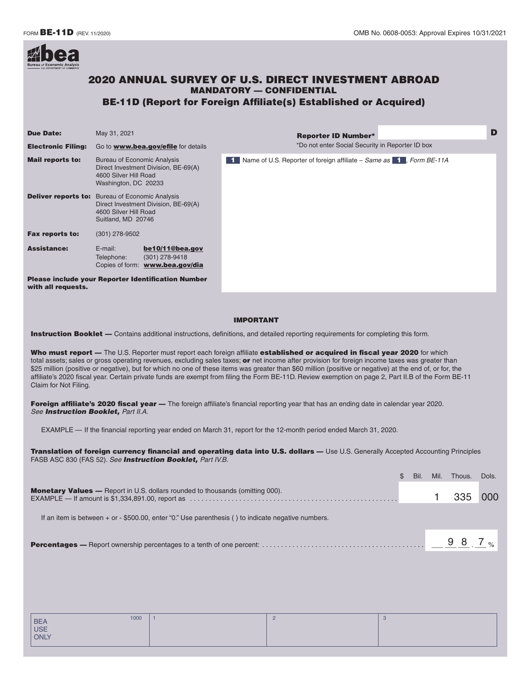

# 2020 ANNUAL SURVEY OF U.S. DIRECT INVESTMENT ABROAD MANDATORY — CONFIDENTIAL BE-11D (Report for Foreign Affiliate(s) Established or Acquired)

#### Reporter ID Number\* D **Due Date:** May 31, 2021 Electronic Filing: Go to [www.bea.gov/efile](http://www.bea.gov/efile) for details **Mail reports to:** Bureau of Economic Analysis Direct Investment Division, BE-69(A) 4600 Silver Hill Road Washington, DC 20233 Deliver reports to: Bureau of Economic Analysis Direct Investment Division, BE-69(A) 4600 Silver Hill Road Suitland, MD 20746 **Fax reports to:** (301) 278-9502 Assistance: E-mail: **[be10/11@bea.gov](mailto:be10/11@bea.gov)** Telephone: (301) 278-9418 Copies of form: **[www.bea.gov/dia](http://www.bea.gov/dia)** Please include your Reporter Identification Number with all requests. 1 Name of U.S. Reporter of foreign affiliate – *Same as* 1, Form BE-11A \*Do not enter Social Security in Reporter ID box

#### IMPORTANT

Instruction Booklet — Contains additional instructions, definitions, and detailed reporting requirements for completing this form.

Who must report - The U.S. Reporter must report each foreign affiliate established or acquired in fiscal year 2020 for which total assets; sales or gross operating revenues, excluding sales taxes; or net income after provision for foreign income taxes was greater than \$25 million (positive or negative), but for which no one of these items was greater than \$60 million (positive or negative) at the end of, or for, the affiliate's 2020 fiscal year. Certain private funds are exempt from filing the Form BE-11D. Review exemption on page 2, Part II.B of the Form BE-11 Claim for Not Filing.

Foreign affiliate's 2020 fiscal year - The foreign affiliate's financial reporting year that has an ending date in calendar year 2020. *See Instruction Booklet, Part II.A.* 

EXAMPLE — If the financial reporting year ended on March 31, report for the 12-month period ended March 31, 2020.

Translation of foreign currency financial and operating data into U.S. dollars — Use U.S. Generally Accepted Accounting Principles FASB ASC 830 (FAS 52). *See Instruction Booklet, Part IV.B.* 

|                                                                                                        | Bil. | Mil. | Thous. | Dols. |
|--------------------------------------------------------------------------------------------------------|------|------|--------|-------|
| <b>Monetary Values</b> — Report in U.S. dollars rounded to thousands (omitting 000).                   |      |      |        |       |
| If an item is between $+$ or $-$ \$500.00, enter "0." Use parenthesis () to indicate negative numbers. |      |      |        |       |
|                                                                                                        |      |      |        |       |

| 1000               |  | ು |
|--------------------|--|---|
| BEA<br>USE<br>ONLY |  |   |
|                    |  |   |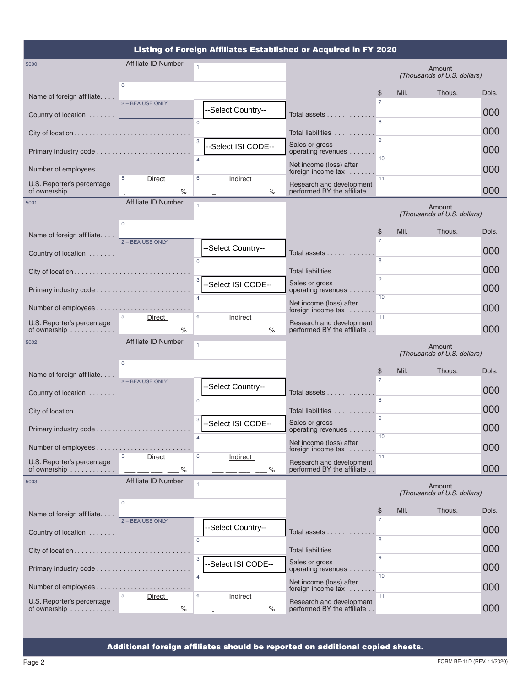|                                            |                              | Listing of Foreign Affiliates Established or Acquired in FY 2020 |                                                               |                      |      |                                       |            |
|--------------------------------------------|------------------------------|------------------------------------------------------------------|---------------------------------------------------------------|----------------------|------|---------------------------------------|------------|
| 5000                                       | Affiliate ID Number          | $\mathbf{1}$                                                     |                                                               |                      |      | Amount<br>(Thousands of U.S. dollars) |            |
| Name of foreign affiliate                  | $\mathbf 0$                  |                                                                  |                                                               | \$                   | Mil. | Thous.                                | Dols.      |
| Country of location                        | 2 - BEA USE ONLY             | --Select Country--                                               | Total assets                                                  | $\overline{7}$       |      |                                       | 000        |
| City of location                           |                              | $\Omega$                                                         | Total liabilities                                             |                      |      |                                       | 000        |
| Primary industry code                      |                              | 3<br>-Select ISI CODE--                                          | Sales or gross<br>operating revenues                          | $\mathbf{Q}$         |      |                                       | 000        |
|                                            |                              | $\overline{4}$                                                   | Net income (loss) after<br>foreign income tax                 | 10                   |      |                                       | 000        |
| U.S. Reporter's percentage                 | 5<br>Direct<br>$\frac{1}{2}$ | 6<br><b>Indirect</b><br>℅                                        | Research and development<br>performed BY the affiliate        | 11                   |      |                                       | 000        |
| 5001                                       | Affiliate ID Number          |                                                                  |                                                               |                      |      | Amount                                |            |
|                                            | $\Omega$                     |                                                                  |                                                               | \$                   | Mil. | (Thousands of U.S. dollars)<br>Thous. | Dols.      |
| Name of foreign affiliate                  | 2 - BEA USE ONLY             | -Select Country--                                                |                                                               |                      |      |                                       |            |
| Country of location                        |                              | $\Omega$                                                         | Total assets $\ldots \ldots \ldots \ldots$                    | 8                    |      |                                       | 000        |
|                                            |                              | 3<br>-Select ISI CODE--                                          | Total liabilities<br>Sales or gross                           | 9                    |      |                                       | 000<br>000 |
|                                            |                              | $\overline{4}$                                                   | operating revenues<br>Net income (loss) after                 | 10                   |      |                                       |            |
| U.S. Reporter's percentage                 | 5<br>Direct                  | 6<br>Indirect                                                    | foreign income tax<br>Research and development                | 11                   |      |                                       | 000        |
| of ownership                               | $\%$<br>Affiliate ID Number  | ℅                                                                | performed BY the affiliate                                    |                      |      |                                       | 000        |
| 5002                                       |                              | 1                                                                |                                                               |                      |      | Amount<br>(Thousands of U.S. dollars) |            |
| Name of foreign affiliate                  | $\Omega$                     |                                                                  |                                                               | \$<br>$\overline{7}$ | Mil. | Thous.                                | Dols.      |
| Country of location                        | 2 - BEA USE ONLY             | -Select Country--                                                | Total assets                                                  |                      |      |                                       | 000        |
| City of location                           |                              | $\Omega$                                                         | Total liabilities                                             | 8<br>$\mathbf{Q}$    |      |                                       | 000        |
| Primary industry code                      |                              | 3<br>-Select ISI CODE--                                          | Sales or gross<br>operating revenues                          | 10                   |      |                                       | 000        |
|                                            |                              | $\overline{4}$                                                   | Net income (loss) after<br>foreign income $tax \ldots \ldots$ |                      |      |                                       | 000        |
| U.S. Reporter's percentage<br>of ownership | 5<br>Direct<br>$\%$          | 6<br><b>Indirect</b><br>$\%$                                     | Research and development<br>performed BY the affiliate        | 11                   |      |                                       | 000        |
| 5003                                       | Affiliate ID Number          |                                                                  |                                                               |                      |      | Amount<br>(Thousands of U.S. dollars) |            |
| Name of foreign affiliate                  | $\mathbf{0}$                 |                                                                  |                                                               | \$<br>$\overline{7}$ | Mil. | Thous.                                | Dols.      |
| Country of location                        | 2 - BEA USE ONLY             | --Select Country--                                               | Total assets                                                  | 8                    |      |                                       | 000        |
|                                            |                              | $\mathbf{0}$                                                     | Total liabilities                                             |                      |      |                                       | 000        |
|                                            |                              | 3<br>--Select ISI CODE--<br>$\overline{4}$                       | Sales or gross<br>operating revenues                          | 10                   |      |                                       | 000        |
|                                            |                              |                                                                  | Net income (loss) after<br>foreign income tax                 | 11                   |      |                                       | 000        |
| U.S. Reporter's percentage<br>of ownership | 5<br>Direct<br>$\%$          | 6<br>Indirect<br>$\%$                                            | Research and development<br>performed BY the affiliate        |                      |      |                                       | 000        |

Additional foreign affiliates should be reported on additional copied sheets.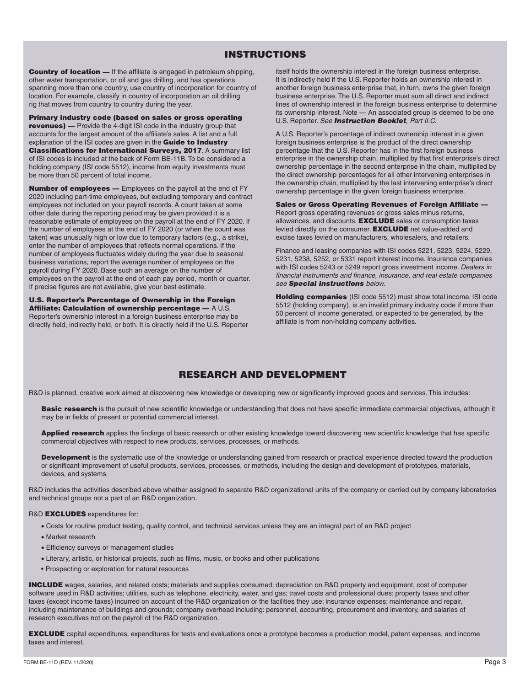# INSTRUCTIONS

Country of location — If the affiliate is engaged in petroleum shipping, other water transportation, or oil and gas drilling, and has operations spanning more than one country, use country of incorporation for country of location. For example, classify in country of incorporation an oil drilling rig that moves from country to country during the year.

Primary industry code (based on sales or gross operating revenues) — Provide the 4-digit ISI code in the industry group that accounts for the largest amount of the affiliate's sales. A list and a full explanation of the ISI codes are given in the **Guide to Industry** Classifications for International Surveys, 2017. A summary list of ISI codes is included at the back of Form BE-11B. To be considered a holding company (ISI code 5512), income from equity investments must be more than 50 percent of total income.

**Number of employees —** Employees on the payroll at the end of FY 2020 including part-time employees, but excluding temporary and contract employees not included on your payroll records. A count taken at some other date during the reporting period may be given provided it is a reasonable estimate of employees on the payroll at the end of FY 2020. If the number of employees at the end of FY 2020 (or when the count was taken) was unusually high or low due to temporary factors (e.g., a strike), enter the number of employees that reflects normal operations. If the number of employees fluctuates widely during the year due to seasonal business variations, report the average number of employees on the payroll during FY 2020. Base such an average on the number of employees on the payroll at the end of each pay period, month or quarter. If precise figures are not available, give your best estimate.

U.S. Reporter's Percentage of Ownership in the Foreign Affiliate: Calculation of ownership percentage — A U.S. Reporter's ownership interest in a foreign business enterprise may be directly held, indirectly held, or both. It is directly held if the U.S. Reporter itself holds the ownership interest in the foreign business enterprise. It is indirectly held if the U.S. Reporter holds an ownership interest in another foreign business enterprise that, in turn, owns the given foreign business enterprise. The U.S. Reporter must sum all direct and indirect lines of ownership interest in the foreign business enterprise to determine its ownership interest. Note — An associated group is deemed to be one U.S. Reporter. *See Instruction Booklet, Part II.C.* 

A U.S. Reporter's percentage of indirect ownership interest in a given foreign business enterprise is the product of the direct ownership percentage that the U.S. Reporter has in the first foreign business enterprise in the ownership chain, multiplied by that first enterprise's direct ownership percentage in the second enterprise in the chain, multiplied by the direct ownership percentages for all other intervening enterprises in the ownership chain, multiplied by the last intervening enterprise's direct ownership percentage in the given foreign business enterprise.

Sales or Gross Operating Revenues of Foreign Affiliate — Report gross operating revenues or gross sales minus returns, allowances, and discounts. **EXCLUDE** sales or consumption taxes levied directly on the consumer. **EXCLUDE** net value-added and excise taxes levied on manufacturers, wholesalers, and retailers.

Finance and leasing companies with ISI codes 5221, 5223, 5224, 5229, 5231, 5238, 5252, or 5331 report interest income. Insurance companies with ISI codes 5243 or 5249 report gross investment income. *Dealers in financial instruments and finance, insurance, and real estate companies see Special Instructions below.* 

Holding companies (ISI code 5512) must show total income. ISI code 5512 (holding company), is an invalid primary industry code if more than 50 percent of income generated, or expected to be generated, by the affiliate is from non-holding company activities.

# RESEARCH AND DEVELOPMENT

R&D is planned, creative work aimed at discovering new knowledge or developing new or significantly improved goods and services. This includes:

Basic research is the pursuit of new scientific knowledge or understanding that does not have specific immediate commercial objectives, although it may be in fields of present or potential commercial interest.

Applied research applies the findings of basic research or other existing knowledge toward discovering new scientific knowledge that has specific commercial objectives with respect to new products, services, processes, or methods.

Development is the systematic use of the knowledge or understanding gained from research or practical experience directed toward the production or significant improvement of useful products, services, processes, or methods, including the design and development of prototypes, materials, devices, and systems.

R&D includes the activities described above whether assigned to separate R&D organizational units of the company or carried out by company laboratories and technical groups not a part of an R&D organization.

#### R&D **EXCLUDES** expenditures for:

- Costs for routine product testing, quality control, and technical services unless they are an integral part of an R&D project
- Market research
- Efficiency surveys or management studies
- Literary, artistic, or historical projects, such as films, music, or books and other publications
- Prospecting or exploration for natural resources

INCLUDE wages, salaries, and related costs; materials and supplies consumed; depreciation on R&D property and equipment, cost of computer software used in R&D activities; utilities, such as telephone, electricity, water, and gas; travel costs and professional dues; property taxes and other taxes (except income taxes) incurred on account of the R&D organization or the facilities they use; insurance expenses; maintenance and repair, including maintenance of buildings and grounds; company overhead including: personnel, accounting, procurement and inventory, and salaries of research executives not on the payroll of the R&D organization.

EXCLUDE capital expenditures, expenditures for tests and evaluations once a prototype becomes a production model, patent expenses, and income taxes and interest.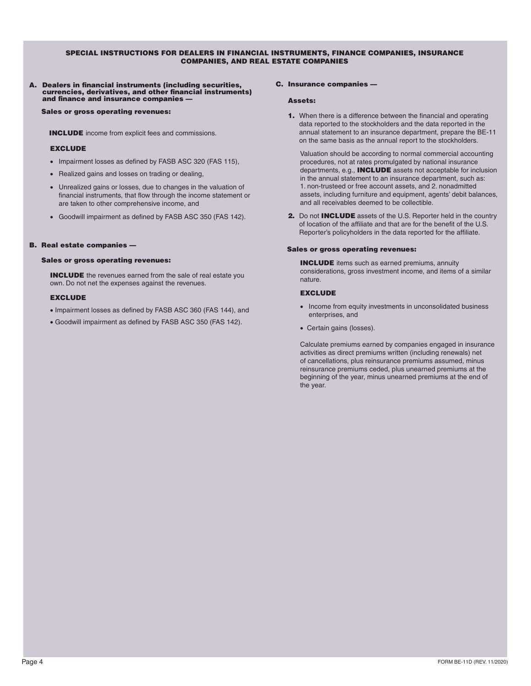#### SPECIAL INSTRUCTIONS FOR DEALERS IN FINANCIAL INSTRUMENTS, FINANCE COMPANIES, INSURANCE COMPANIES, AND REAL ESTATE COMPANIES

# A. Dealers in financial instruments (including securities, currencies, derivatives, and other financial instruments) and finance and insurance companies —

Sales or gross operating revenues:

INCLUDE income from explicit fees and commissions.

#### **EXCLUDE**

- Impairment losses as defined by FASB ASC 320 (FAS 115),
- Realized gains and losses on trading or dealing,
- Unrealized gains or losses, due to changes in the valuation of financial instruments, that flow through the income statement or are taken to other comprehensive income, and
- Goodwill impairment as defined by FASB ASC 350 (FAS 142).

#### B. Real estate companies —

#### Sales or gross operating revenues:

INCLUDE the revenues earned from the sale of real estate you own. Do not net the expenses against the revenues.

#### EXCLUDE

- Impairment losses as defined by FASB ASC 360 (FAS 144), and
- Goodwill impairment as defined by FASB ASC 350 (FAS 142).

#### C. Insurance companies —

#### Assets:

1. When there is a difference between the financial and operating data reported to the stockholders and the data reported in the annual statement to an insurance department, prepare the BE-11 on the same basis as the annual report to the stockholders.

Valuation should be according to normal commercial accounting procedures, not at rates promulgated by national insurance departments, e.g., INCLUDE assets not acceptable for inclusion in the annual statement to an insurance department, such as: 1. non-trusteed or free account assets, and 2. nonadmitted assets, including furniture and equipment, agents' debit balances, and all receivables deemed to be collectible.

2. Do not **INCLUDE** assets of the U.S. Reporter held in the country of location of the affiliate and that are for the benefit of the U.S. Reporter's policyholders in the data reported for the affiliate.

#### Sales or gross operating revenues:

**INCLUDE** items such as earned premiums, annuity considerations, gross investment income, and items of a similar nature.

#### **EXCLUDE**

- Income from equity investments in unconsolidated business enterprises, and
- Certain gains (losses).

Calculate premiums earned by companies engaged in insurance activities as direct premiums written (including renewals) net of cancellations, plus reinsurance premiums assumed, minus reinsurance premiums ceded, plus unearned premiums at the beginning of the year, minus unearned premiums at the end of the year.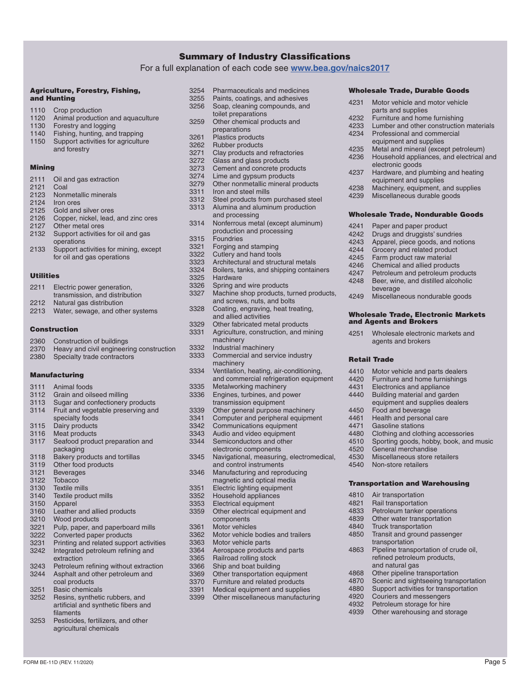### Summary of Industry Classifications

For a full explanation of each code see **<www.bea.gov/naics2017>**

#### Agriculture, Forestry, Fishing, and Hunting

- 1110 Crop production<br>1120 Animal production 1120 Animal production and aquaculture<br>1130 Forestry and logging
- 1130 Forestry and logging<br>1140 Fishing hunting and
- 1140 Fishing, hunting, and trapping<br>1150 Support activities for agriculture
- Support activities for agriculture and forestry

#### Mining

2111 Oil and gas extraction 2121 Coal 2123 Nonmetallic minerals 2124 Iron ores 2125 Gold and silver ores 2126 Copper, nickel, lead, and zinc ores 2127 Other metal ores 2132 Support activities for oil and gas operations 2133 Support activities for mining, except for oil and gas operations

# Utilities

- 2211 Electric power generation,
- transmission, and distribution
- 2212 Natural gas distribution
- 2213 Water, sewage, and other systems

## Construction

- 2360 Construction of buildings
- 2370 Heavy and civil engineering construction 2380 Specialty trade contractors

#### Manufacturing

- 3111 Animal foods 3112 Grain and oilseed milling 3113 Sugar and confectionery products 3114 Fruit and vegetable preserving and
- specialty foods
- 3115 Dairy products<br>3116 Meat products
- 3116 Meat products<br>3117 Seafood produ
- Seafood product preparation and packaging
- 3118 Bakery products and tortillas<br>3119 Other food products Other food products
- 
- 3121 Beverages<br>3122 Tobacco
- 3122 Tobacco<br>3130 Textile m
- 3130 Textile mills<br>3140 Textile prod 3140 Textile product mills<br>3150 Apparel
- Apparel
- 3160 Leather and allied products<br>3210 Wood products
- 3210 Wood products<br>3221 Pulp paper and
- 3221 Pulp, paper, and paperboard mills<br>3222 Converted paper products
- 3222 Converted paper products<br>3231 Printing and related suppo
- Printing and related support activities 3242 Integrated petroleum refining and
- extraction
- 3243 Petroleum refining without extraction<br>3244 Asphalt and other petroleum and
- Asphalt and other petroleum and coal products
- 3251 Basic chemicals<br>3252 Resins, syntheti
- Resins, synthetic rubbers, and artificial and synthetic fibers and filaments
- 3253 Pesticides, fertilizers, and other agricultural chemicals
- 3254 Pharmaceuticals and medicines<br>3255 Paints, coatings, and adhesives
- 3255 Paints, coatings, and adhesives<br>3256 Soap, cleaning compounds, and Soap, cleaning compounds, and
	- toilet preparations
- 3259 Other chemical products and preparations
- 3261 Plastics products<br>3262 Rubber products
- 3262 Rubber products<br>3271 Clay products and
- 3271 Clay products and refractories<br>3272 Glass and glass products
- 3272 Glass and glass products<br>3273 Cement and concrete prod
- 3273 Cement and concrete products<br>3274 Lime and gynsum products
- 3274 Lime and gypsum products<br>3279 Other nonmetallic mineral p
- 3279 Other nonmetallic mineral products<br>3311 Iron and steel mills
- 3311 Iron and steel mills<br>3312 Steel products from
- Steel products from purchased steel 3313 Alumina and aluminum production
	- and processing
- 3314 Nonferrous metal (except aluminum) production and processing
- 3315 Foundries<br>3321 Forging an
- 3321 Forging and stamping<br>3322 Cutlery and hand tools
- 3322 Cutlery and hand tools<br>3323 Architectural and struct
- 3323 Architectural and structural metals<br>3324 Boilers, tanks, and shipping contair
- 3324 Boilers, tanks, and shipping containers<br>3325 Hardware
- 3325 Hardware<br>3326 Spring and
- 3326 Spring and wire products<br>3327 Machine shop products, ti
	- Machine shop products, turned products, and screws, nuts, and bolts
- 3328 Coating, engraving, heat treating,
- and allied activities
- 3329 Other fabricated metal products<br>3331 Agriculture, construction, and mi Agriculture, construction, and mining
- machinery
- 3332 Industrial machinery<br>3333 Commercial and serve
	- Commercial and service industry machinery
- 3334 Ventilation, heating, air-conditioning, and commercial refrigeration equipment
- 3335 Metalworking machinery<br>3336 Engines. turbines. and po
- Engines, turbines, and power
- transmission equipment
- 3339 Other general purpose machinery<br>3341 Computer and peripheral equipme
- 3341 Computer and peripheral equipment<br>3342 Communications equipment
- 3342 Communications equipment<br>3343 Audio and video equipment
- 3343 Audio and video equipment<br>3344 Semiconductors and other
- Semiconductors and other electronic components
- 3345 Navigational, measuring, electromedical,
- and control instruments 3346 Manufacturing and reproducing
- magnetic and optical media
- 3351 Electric lighting equipment<br>3352 Household appliances
- 3352 Household appliances<br>3353 Electrical equipment Electrical equipment
- 3359 Other electrical equipment and components
- 
- 3361 Motor vehicles<br>3362 Motor vehicle b 3362 Motor vehicle bodies and trailers<br>3363 Motor vehicle parts
- Motor vehicle parts
- 3364 Aerospace products and parts<br>3365 Railroad rolling stock
- 3365 Railroad rolling stock<br>3366 Shin and boat building
- 3366 Ship and boat building<br>3369 Other transportation ed
- 3369 Other transportation equipment<br>3370 Furniture and related products
- 3370 Furniture and related products<br>3391 Medical equipment and supplies
- 3391 Medical equipment and supplies<br>3399 Other miscellaneous manufacturi Other miscellaneous manufacturing

FORM BE-11D (REV. 11/2020) Page 5

- Wholesale Trade, Durable Goods
- 4231 Motor vehicle and motor vehicle

equipment and supplies 4235 Metal and mineral (except petroleum)<br>4236 Household appliances, and electrical Household appliances, and electrical and

parts and supplies

electronic goods

4241 Paper and paper product<br>4242 Drugs and druggists' sung 4242 Drugs and druggists' sundries<br>4243 Apparel, piece goods, and not 4243 Apparel, piece goods, and notions<br>4244 Grocery and related product 4244 Grocery and related product<br>4245 Farm product raw material 4245 Farm product raw material<br>4246 Chemical and allied produc 4246 Chemical and allied products<br>4247 Petroleum and petroleum pro 4247 Petroleum and petroleum products<br>4248 Beer, wine, and distilled alcoholic Beer, wine, and distilled alcoholic

beverage

Retail Trade

and Agents and Brokers

4450 Food and beverage<br>4461 Health and persona 4461 Health and personal care<br>4471 Gasoline stations 4471 Gasoline stations<br>4480 Clothing and cloth

4520 General merchandise 4530 Miscellaneous store retailers<br>4540 Non-store retailers Non-store retailers

4810 Air transportation 4821 Rail transportation<br>4833 Petroleum tanker o

4232 Furniture and home furnishing<br>4233 Lumber and other construction

4237 Hardware, and plumbing and heating equipment and supplies 4238 Machinery, equipment, and supplies<br>4239 Miscellaneous durable goods Miscellaneous durable goods

Wholesale Trade, Nondurable Goods

4249 Miscellaneous nondurable goods

4251 Wholesale electronic markets and agents and brokers

4410 Motor vehicle and parts dealers<br>4420 Furniture and home furnishings 4420 Furniture and home furnishings<br>4431 Flectronics and appliance 4431 Electronics and appliance<br>4440 Building material and gard Building material and garden equipment and supplies dealers

4480 Clothing and clothing accessories<br>4510 Sporting goods, hobby, book, and 4510 Sporting goods, hobby, book, and music<br>4520 General merchandise

Transportation and Warehousing

Petroleum tanker operations 4839 Other water transportation 4840 Truck transportation 4850 Transit and ground passenger transportation

4863 Pipeline transportation of crude oil, refined petroleum products,

and natural gas 4868 Other pipeline transportation<br>4870 Scenic and sightseeing trans 4870 Scenic and sightseeing transportation<br>4880 Support activities for transportation Support activities for transportation

4920 Couriers and messengers<br>4932 Petroleum storage for hire Petroleum storage for hire 4939 Other warehousing and storage

Wholesale Trade, Electronic Markets

4233 Lumber and other construction materials<br>4234 Professional and commercial Professional and commercial